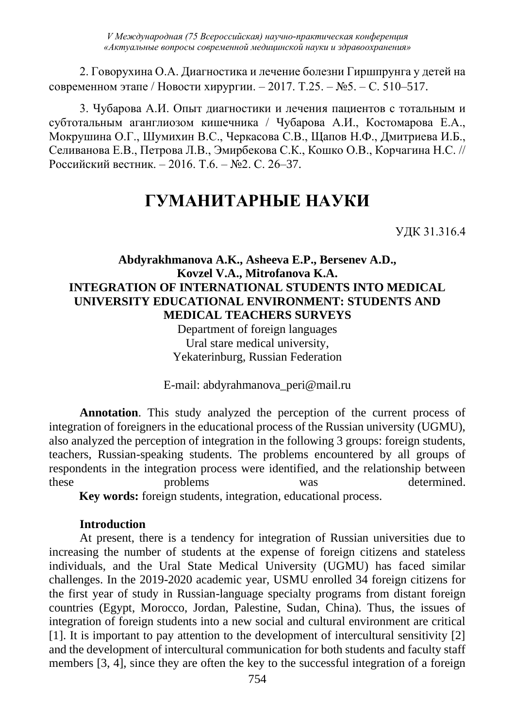2. Говорухина О.А. Диагностика и лечение болезни Гиршпрунга у детей на современном этапе / Новости хирургии. – 2017. Т.25. – №5. – С. 510–517.

3. Чубарова А.И. Опыт диагностики и лечения пациентов с тотальным и субтотальным аганглиозом кишечника / Чубарова А.И., Костомарова Е.А., Мокрушина О.Г., Шумихин В.С., Черкасова С.В., Щапов Н.Ф., Дмитриева И.Б., Селиванова Е.В., Петрова Л.В., Эмирбекова С.К., Кошко О.В., Корчагина Н.С. // Российский вестник. – 2016. Т.6. – №2. С. 26–37.

# **ГУМАНИТАРНЫЕ НАУКИ**

УДК 31.316.4

### **Abdyrakhmanova A.K., Asheeva E.P., Bersenev A.D., Kovzel V.A., Mitrofanova K.A. INTEGRATION OF INTERNATIONAL STUDENTS INTO MEDICAL UNIVERSITY EDUCATIONAL ENVIRONMENT: STUDENTS AND MEDICAL TEACHERS SURVEYS**

Department of foreign languages Ural stare medical university, Yekaterinburg, Russian Federation

E-mail: abdyrahmanova\_peri@mail.ru

**Annotation**. This study analyzed the perception of the current process of integration of foreigners in the educational process of the Russian university (UGMU), also analyzed the perception of integration in the following 3 groups: foreign students, teachers, Russian-speaking students. The problems encountered by all groups of respondents in the integration process were identified, and the relationship between these problems was determined.

 **Key words:** foreign students, integration, educational process.

### **Introduction**

At present, there is a tendency for integration of Russian universities due to increasing the number of students at the expense of foreign citizens and stateless individuals, and the Ural State Medical University (UGMU) has faced similar challenges. In the 2019-2020 academic year, USMU enrolled 34 foreign citizens for the first year of study in Russian-language specialty programs from distant foreign countries (Egypt, Morocco, Jordan, Palestine, Sudan, China). Thus, the issues of integration of foreign students into a new social and cultural environment are critical [1]. It is important to pay attention to the development of intercultural sensitivity [2] and the development of intercultural communication for both students and faculty staff members [3, 4], since they are often the key to the successful integration of a foreign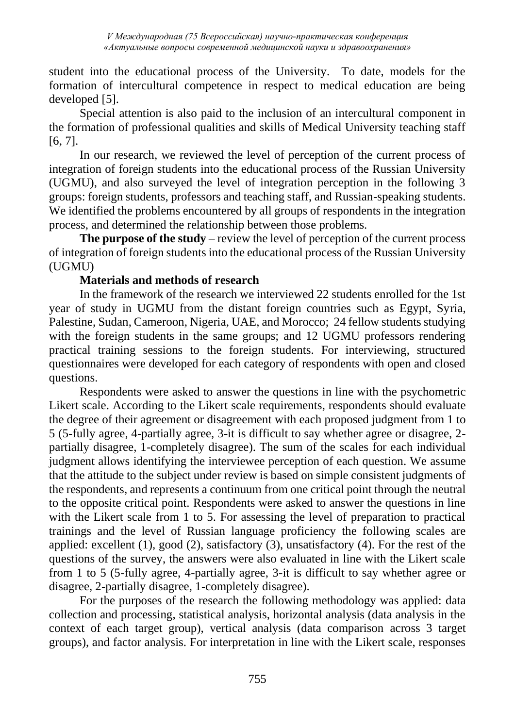student into the educational process of the University. To date, models for the formation of intercultural competence in respect to medical education are being developed [5].

Special attention is also paid to the inclusion of an intercultural component in the formation of professional qualities and skills of Medical University teaching staff [6, 7].

In our research, we reviewed the level of perception of the current process of integration of foreign students into the educational process of the Russian University (UGMU), and also surveyed the level of integration perception in the following 3 groups: foreign students, professors and teaching staff, and Russian-speaking students. We identified the problems encountered by all groups of respondents in the integration process, and determined the relationship between those problems.

**The purpose of the study** – review the level of perception of the current process of integration of foreign students into the educational process of the Russian University (UGMU)

## **Materials and methods of research**

In the framework of the research we interviewed 22 students enrolled for the 1st year of study in UGMU from the distant foreign countries such as Egypt, Syria, Palestine, Sudan, Cameroon, Nigeria, UAE, and Morocco; 24 fellow students studying with the foreign students in the same groups; and 12 UGMU professors rendering practical training sessions to the foreign students. For interviewing, structured questionnaires were developed for each category of respondents with open and closed questions.

Respondents were asked to answer the questions in line with the psychometric Likert scale. According to the Likert scale requirements, respondents should evaluate the degree of their agreement or disagreement with each proposed judgment from 1 to 5 (5-fully agree, 4-partially agree, 3-it is difficult to say whether agree or disagree, 2 partially disagree, 1-completely disagree). The sum of the scales for each individual judgment allows identifying the interviewee perception of each question. We assume that the attitude to the subject under review is based on simple consistent judgments of the respondents, and represents a continuum from one critical point through the neutral to the opposite critical point. Respondents were asked to answer the questions in line with the Likert scale from 1 to 5. For assessing the level of preparation to practical trainings and the level of Russian language proficiency the following scales are applied: excellent (1), good (2), satisfactory (3), unsatisfactory (4). For the rest of the questions of the survey, the answers were also evaluated in line with the Likert scale from 1 to 5 (5-fully agree, 4-partially agree, 3-it is difficult to say whether agree or disagree, 2-partially disagree, 1-completely disagree).

For the purposes of the research the following methodology was applied: data collection and processing, statistical analysis, horizontal analysis (data analysis in the context of each target group), vertical analysis (data comparison across 3 target groups), and factor analysis. For interpretation in line with the Likert scale, responses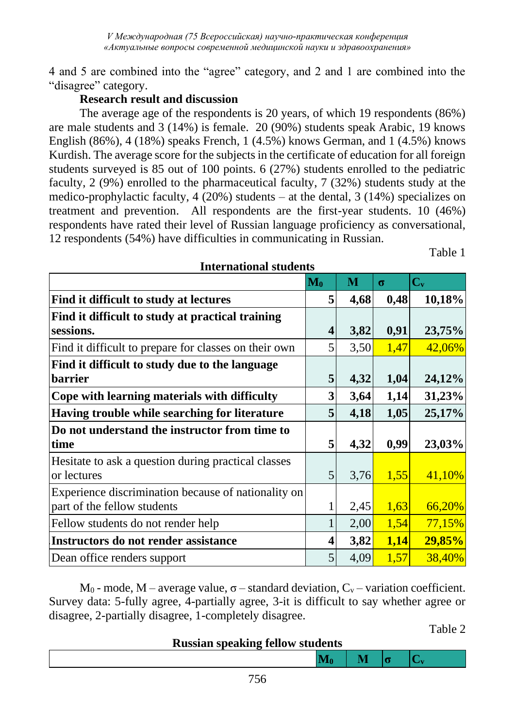4 and 5 are combined into the "agree" category, and 2 and 1 are combined into the "disagree" category.

## **Research result and discussion**

The average age of the respondents is 20 years, of which 19 respondents (86%) are male students and 3 (14%) is female. 20 (90%) students speak Arabic, 19 knows English (86%), 4 (18%) speaks French, 1 (4.5%) knows German, and 1 (4.5%) knows Kurdish. The average score for the subjects in the certificate of education for all foreign students surveyed is 85 out of 100 points. 6 (27%) students enrolled to the pediatric faculty, 2 (9%) enrolled to the pharmaceutical faculty, 7 (32%) students study at the medico-prophylactic faculty,  $4(20%)$  students – at the dental,  $3(14%)$  specializes on treatment and prevention. All respondents are the first-year students. 10 (46%) respondents have rated their level of Russian language proficiency as conversational, 12 respondents (54%) have difficulties in communicating in Russian.

Table 1

|                                                                                    | $\mathbf{M}_0$          | M    | $\sigma$ | $C_{v}$ |
|------------------------------------------------------------------------------------|-------------------------|------|----------|---------|
| Find it difficult to study at lectures                                             | 5                       | 4,68 | 0,48     | 10,18%  |
| Find it difficult to study at practical training<br>sessions.                      | $\overline{\mathbf{4}}$ | 3,82 | 0,91     | 23,75%  |
| Find it difficult to prepare for classes on their own                              | 5                       | 3,50 | 1,47     | 42,06%  |
| Find it difficult to study due to the language                                     |                         |      |          |         |
| <b>barrier</b>                                                                     | 5                       | 4,32 | 1,04     | 24,12%  |
| Cope with learning materials with difficulty                                       | 3                       | 3,64 | 1,14     | 31,23%  |
| Having trouble while searching for literature                                      | 5                       | 4,18 | 1,05     | 25,17%  |
| Do not understand the instructor from time to                                      |                         |      |          |         |
| time                                                                               | 5                       | 4,32 | 0,99     | 23,03%  |
| Hesitate to ask a question during practical classes<br>or lectures                 | 5                       | 3,76 | 1,55     | 41,10%  |
| Experience discrimination because of nationality on<br>part of the fellow students | 1                       | 2,45 | 1,63     | 66,20%  |
| Fellow students do not render help                                                 | 1                       | 2,00 | 1,54     | 77,15%  |
| <b>Instructors do not render assistance</b>                                        | 4                       | 3,82 | 1,14     | 29,85%  |
| Dean office renders support                                                        | 5                       | 4,09 | 1,57     | 38,40%  |

**International students**

M<sub>0</sub> - mode, M – average value,  $\sigma$  – standard deviation,  $C_v$  – variation coefficient. Survey data: 5-fully agree, 4-partially agree, 3-it is difficult to say whether agree or disagree, 2-partially disagree, 1-completely disagree.

Table 2

**Russian speaking fellow students**

 $\mathbf{M}_0$   $\mathbf{M}$   $\mathbf{G}$   $\mathbf{C}_v$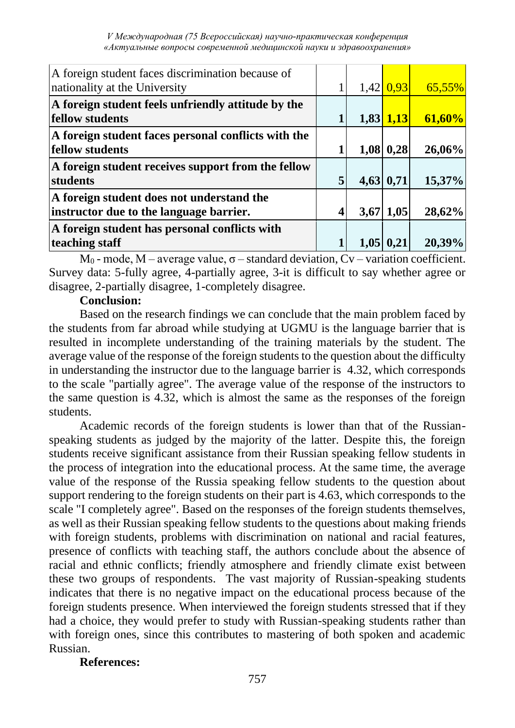| A foreign student faces discrimination because of<br>nationality at the University   |  | $1,42$ 0.93     | $65,55\%$ |
|--------------------------------------------------------------------------------------|--|-----------------|-----------|
| A foreign student feels unfriendly attitude by the<br><b>fellow</b> students         |  | $1,83$ $1,13$   | 61,60%    |
| A foreign student faces personal conflicts with the<br><b>fellow</b> students        |  | $1,08$ 0,28     | 26,06%    |
| A foreign student receives support from the fellow<br>students                       |  | 4,63 0,71       | 15,37%    |
| A foreign student does not understand the<br>instructor due to the language barrier. |  | $3,67$   1,05   | 28,62%    |
| A foreign student has personal conflicts with<br>teaching staff                      |  | $1,05$   $0,21$ | 20,39%    |

 $M_0$  - mode, M – average value,  $\sigma$  – standard deviation, Cv – variation coefficient. Survey data: 5-fully agree, 4-partially agree, 3-it is difficult to say whether agree or disagree, 2-partially disagree, 1-completely disagree.

#### **Conclusion:**

Based on the research findings we can conclude that the main problem faced by the students from far abroad while studying at UGMU is the language barrier that is resulted in incomplete understanding of the training materials by the student. The average value of the response of the foreign students to the question about the difficulty in understanding the instructor due to the language barrier is 4.32, which corresponds to the scale "partially agree". The average value of the response of the instructors to the same question is 4.32, which is almost the same as the responses of the foreign students.

Academic records of the foreign students is lower than that of the Russianspeaking students as judged by the majority of the latter. Despite this, the foreign students receive significant assistance from their Russian speaking fellow students in the process of integration into the educational process. At the same time, the average value of the response of the Russia speaking fellow students to the question about support rendering to the foreign students on their part is 4.63, which corresponds to the scale "I completely agree". Based on the responses of the foreign students themselves, as well as their Russian speaking fellow students to the questions about making friends with foreign students, problems with discrimination on national and racial features, presence of conflicts with teaching staff, the authors conclude about the absence of racial and ethnic conflicts; friendly atmosphere and friendly climate exist between these two groups of respondents. The vast majority of Russian-speaking students indicates that there is no negative impact on the educational process because of the foreign students presence. When interviewed the foreign students stressed that if they had a choice, they would prefer to study with Russian-speaking students rather than with foreign ones, since this contributes to mastering of both spoken and academic Russian.

### **References:**